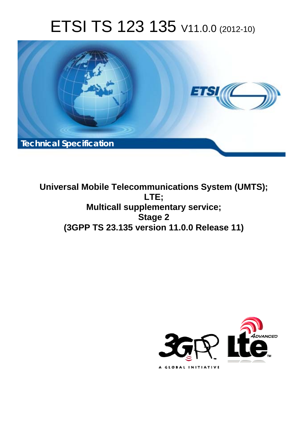# ETSI TS 123 135 V11.0.0 (2012-10)



**Universal Mobile Telecommunications System (UMTS); LTE; Multicall supplementary service; Stage 2 (3GPP TS 23.135 version 11.0.0 Release 11)** 

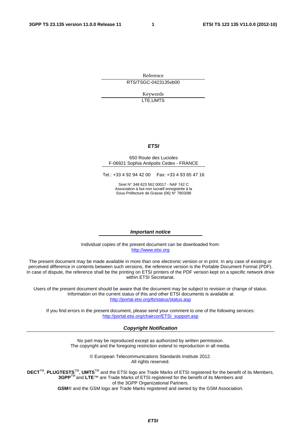Reference RTS/TSGC-0423135vb00

> Keywords LTE,UMTS

#### *ETSI*

#### 650 Route des Lucioles F-06921 Sophia Antipolis Cedex - FRANCE

Tel.: +33 4 92 94 42 00 Fax: +33 4 93 65 47 16

Siret N° 348 623 562 00017 - NAF 742 C Association à but non lucratif enregistrée à la Sous-Préfecture de Grasse (06) N° 7803/88

#### *Important notice*

Individual copies of the present document can be downloaded from: [http://www.etsi.org](http://www.etsi.org/)

The present document may be made available in more than one electronic version or in print. In any case of existing or perceived difference in contents between such versions, the reference version is the Portable Document Format (PDF). In case of dispute, the reference shall be the printing on ETSI printers of the PDF version kept on a specific network drive within ETSI Secretariat.

Users of the present document should be aware that the document may be subject to revision or change of status. Information on the current status of this and other ETSI documents is available at <http://portal.etsi.org/tb/status/status.asp>

If you find errors in the present document, please send your comment to one of the following services: [http://portal.etsi.org/chaircor/ETSI\\_support.asp](http://portal.etsi.org/chaircor/ETSI_support.asp)

#### *Copyright Notification*

No part may be reproduced except as authorized by written permission. The copyright and the foregoing restriction extend to reproduction in all media.

> © European Telecommunications Standards Institute 2012. All rights reserved.

DECT<sup>™</sup>, PLUGTESTS<sup>™</sup>, UMTS<sup>™</sup> and the ETSI logo are Trade Marks of ETSI registered for the benefit of its Members. **3GPP**TM and **LTE**™ are Trade Marks of ETSI registered for the benefit of its Members and of the 3GPP Organizational Partners.

**GSM**® and the GSM logo are Trade Marks registered and owned by the GSM Association.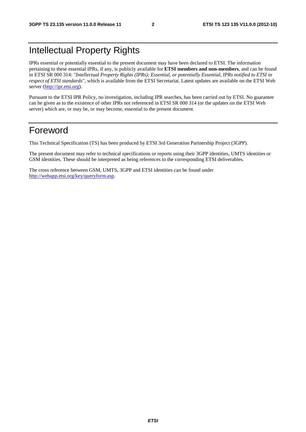## Intellectual Property Rights

IPRs essential or potentially essential to the present document may have been declared to ETSI. The information pertaining to these essential IPRs, if any, is publicly available for **ETSI members and non-members**, and can be found in ETSI SR 000 314: *"Intellectual Property Rights (IPRs); Essential, or potentially Essential, IPRs notified to ETSI in respect of ETSI standards"*, which is available from the ETSI Secretariat. Latest updates are available on the ETSI Web server ([http://ipr.etsi.org\)](http://webapp.etsi.org/IPR/home.asp).

Pursuant to the ETSI IPR Policy, no investigation, including IPR searches, has been carried out by ETSI. No guarantee can be given as to the existence of other IPRs not referenced in ETSI SR 000 314 (or the updates on the ETSI Web server) which are, or may be, or may become, essential to the present document.

## Foreword

This Technical Specification (TS) has been produced by ETSI 3rd Generation Partnership Project (3GPP).

The present document may refer to technical specifications or reports using their 3GPP identities, UMTS identities or GSM identities. These should be interpreted as being references to the corresponding ETSI deliverables.

The cross reference between GSM, UMTS, 3GPP and ETSI identities can be found under [http://webapp.etsi.org/key/queryform.asp.](http://webapp.etsi.org/key/queryform.asp)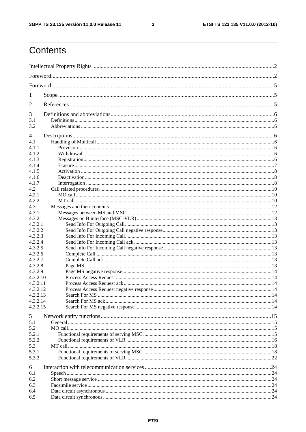$\mathbf{3}$ 

# Contents

| 1              |  |
|----------------|--|
| 2              |  |
| 3              |  |
| 3.1            |  |
| 3.2            |  |
| 4              |  |
| 4.1            |  |
| 4.1.1          |  |
| 4.1.2          |  |
| 4.1.3          |  |
| 4.1.4<br>4.1.5 |  |
|                |  |
| 4.1.6          |  |
| 4.1.7<br>4.2   |  |
| 4.2.1          |  |
| 4.2.2          |  |
| 4.3            |  |
| 4.3.1          |  |
| 4.3.2          |  |
| 4.3.2.1        |  |
| 4.3.2.2        |  |
| 4.3.2.3        |  |
| 4.3.2.4        |  |
| 4.3.2.5        |  |
| 4.3.2.6        |  |
| 4.3.2.7        |  |
| 4.3.2.8        |  |
| 4.3.2.9        |  |
| 4.3.2.10       |  |
| 4.3.2.11       |  |
| 4.3.2.12       |  |
| 4.3.2.13       |  |
| 4.3.2.14       |  |
| 4.3.2.15       |  |
|                |  |
| 5              |  |
| 5.1<br>5.2     |  |
| 5.2.1          |  |
| 5.2.2          |  |
| 5.3            |  |
| 5.3.1          |  |
| 5.3.2          |  |
|                |  |
| 6              |  |
| 6.1            |  |
| 6.2            |  |
| 6.3            |  |
| 6.4            |  |
| 6.5            |  |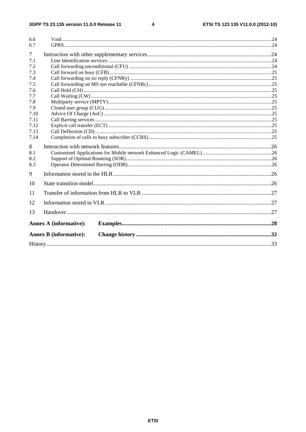$\overline{\mathbf{4}}$ 

| 6.6            |                               |  |
|----------------|-------------------------------|--|
| 6.7            |                               |  |
| $\overline{7}$ |                               |  |
| 7.1            |                               |  |
| 7.2            |                               |  |
| 7.3            |                               |  |
| 7.4            |                               |  |
| 7.5            |                               |  |
| 7.6            |                               |  |
| 7.7            |                               |  |
| 7.8            |                               |  |
| 7.9            |                               |  |
| 7.10           |                               |  |
| 7.11           |                               |  |
| 7.12           |                               |  |
| 7.13           |                               |  |
| 7.14           |                               |  |
| 8              |                               |  |
| 8.1            |                               |  |
| 8.2            |                               |  |
| 8.3            |                               |  |
| 9              |                               |  |
| 10             |                               |  |
| 11             |                               |  |
| 12             |                               |  |
| 13             |                               |  |
|                | <b>Annex A (informative):</b> |  |
|                |                               |  |
|                | <b>Annex B</b> (informative): |  |
|                |                               |  |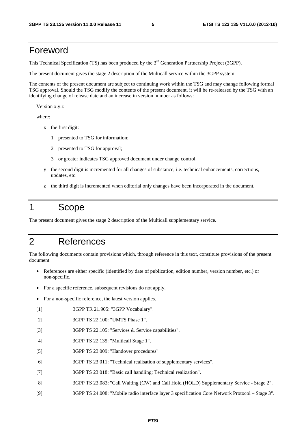## Foreword

This Technical Specification (TS) has been produced by the 3<sup>rd</sup> Generation Partnership Project (3GPP).

The present document gives the stage 2 description of the Multicall service within the 3GPP system.

The contents of the present document are subject to continuing work within the TSG and may change following formal TSG approval. Should the TSG modify the contents of the present document, it will be re-released by the TSG with an identifying change of release date and an increase in version number as follows:

Version x.y.z

where:

- x the first digit:
	- 1 presented to TSG for information;
	- 2 presented to TSG for approval;
	- 3 or greater indicates TSG approved document under change control.
- y the second digit is incremented for all changes of substance, i.e. technical enhancements, corrections, updates, etc.
- z the third digit is incremented when editorial only changes have been incorporated in the document.

## 1 Scope

The present document gives the stage 2 description of the Multicall supplementary service.

## 2 References

The following documents contain provisions which, through reference in this text, constitute provisions of the present document.

- References are either specific (identified by date of publication, edition number, version number, etc.) or non-specific.
- For a specific reference, subsequent revisions do not apply.
- For a non-specific reference, the latest version applies.
- [1] 3GPP TR 21.905: "3GPP Vocabulary".
- [2] 3GPP TS 22.100: "UMTS Phase 1".
- [3] 3GPP TS 22.105: "Services & Service capabilities".
- [4] 3GPP TS 22.135: "Multicall Stage 1".
- [5] 3GPP TS 23.009: "Handover procedures".
- [6] 3GPP TS 23.011: "Technical realisation of supplementary services".
- [7] 3GPP TS 23.018: "Basic call handling; Technical realization".
- [8] 3GPP TS 23.083: "Call Waiting (CW) and Call Hold (HOLD) Supplementary Service Stage 2".
- [9] 3GPP TS 24.008: "Mobile radio interface layer 3 specification Core Network Protocol Stage 3".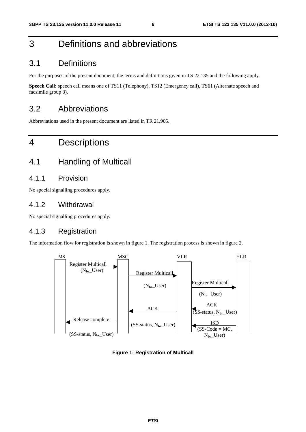## 3 Definitions and abbreviations

### 3.1 Definitions

For the purposes of the present document, the terms and definitions given in TS 22.135 and the following apply.

**Speech Call:** speech call means one of TS11 (Telephony), TS12 (Emergency call), TS61 (Alternate speech and facsimile group 3).

## 3.2 Abbreviations

Abbreviations used in the present document are listed in TR 21.905.

## 4 Descriptions

## 4.1 Handling of Multicall

#### 4.1.1 Provision

No special signalling procedures apply.

#### 4.1.2 Withdrawal

No special signalling procedures apply.

#### 4.1.3 Registration

The information flow for registration is shown in figure 1. The registration process is shown in figure 2.



**Figure 1: Registration of Multicall**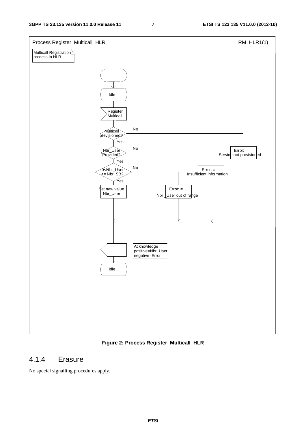

#### **Figure 2: Process Register\_Multicall\_HLR**

#### 4.1.4 Erasure

No special signalling procedures apply.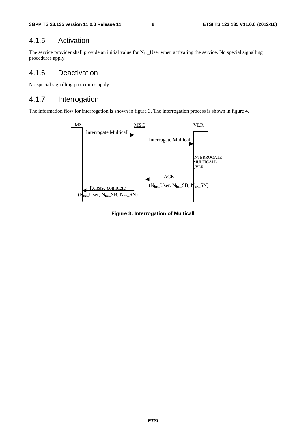### 4.1.5 Activation

The service provider shall provide an initial value for N**br\_**User when activating the service. No special signalling procedures apply.

#### 4.1.6 Deactivation

No special signalling procedures apply.

#### 4.1.7 Interrogation

The information flow for interrogation is shown in figure 3. The interrogation process is shown in figure 4.



**Figure 3: Interrogation of Multicall**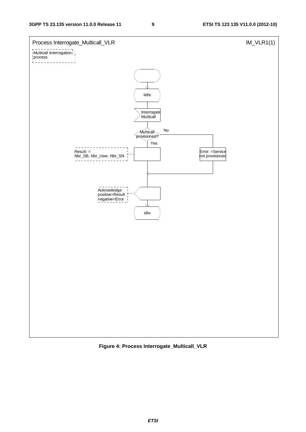

**Figure 4: Process Interrogate\_Multicall\_VLR**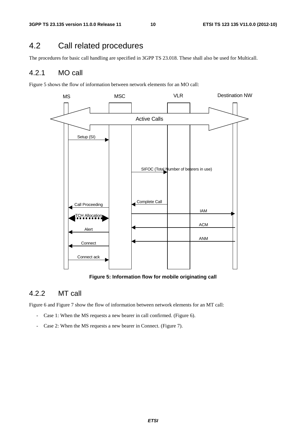## 4.2 Call related procedures

The procedures for basic call handling are specified in 3GPP TS 23.018. These shall also be used for Multicall.

#### 4.2.1 MO call

Figure 5 shows the flow of information between network elements for an MO call:



**Figure 5: Information flow for mobile originating call** 

#### 4.2.2 MT call

Figure 6 and Figure 7 show the flow of information between network elements for an MT call:

- Case 1: When the MS requests a new bearer in call confirmed. (Figure 6).
- Case 2: When the MS requests a new bearer in Connect. (Figure 7).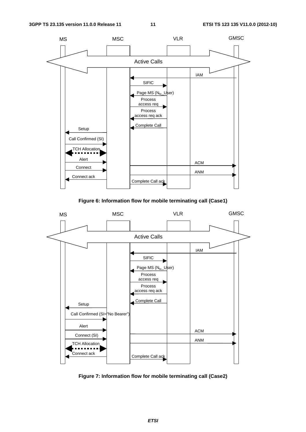

**Figure 6: Information flow for mobile terminating call (Case1)** 



**Figure 7: Information flow for mobile terminating call (Case2)**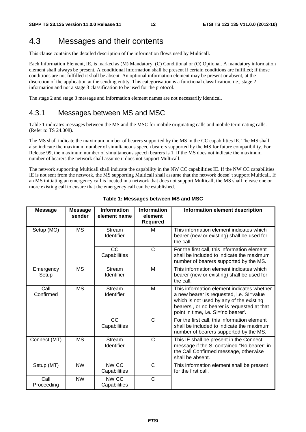## 4.3 Messages and their contents

This clause contains the detailed description of the information flows used by Multicall.

Each Information Element, IE, is marked as (M) Mandatory, (C) Conditional or (O) Optional. A mandatory information element shall always be present. A conditional information shall be present if certain conditions are fulfilled; if those conditions are not fulfilled it shall be absent. An optional information element may be present or absent, at the discretion of the application at the sending entity. This categorisation is a functional classification, i.e., stage 2 information and not a stage 3 classification to be used for the protocol.

The stage 2 and stage 3 message and information element names are not necessarily identical.

#### 4.3.1 Messages between MS and MSC

Table 1 indicates messages between the MS and the MSC for mobile originating calls and mobile terminating calls. (Refer to TS 24.008).

The MS shall indicate the maximum number of bearers supported by the MS in the CC capabilities IE. The MS shall also indicate the maximum number of simultaneous speech bearers supported by the MS for future compatibility. For Release 99, the maximum number of simultaneous speech bearers is 1. If the MS does not indicate the maximum number of bearers the network shall assume it does not support Multicall.

The network supporting Multicall shall indicate the capability in the NW CC capabilities IE. If the NW CC capabilities IE is not sent from the network, the MS supporting Multicall shall assume that the network doesn"t support Multicall. If an MS initiating an emergency call is located in a network that does not support Multicall, the MS shall release one or more existing call to ensure that the emergency call can be established.

| <b>Message</b>                                                | <b>Message</b><br>sender | <b>Information</b><br>element name | <b>Information</b><br>element<br><b>Required</b>                                                                                                                                                                        | Information element description                                                                                                                    |
|---------------------------------------------------------------|--------------------------|------------------------------------|-------------------------------------------------------------------------------------------------------------------------------------------------------------------------------------------------------------------------|----------------------------------------------------------------------------------------------------------------------------------------------------|
| Setup (MO)                                                    | <b>MS</b>                | Stream<br><b>Identifier</b>        | м                                                                                                                                                                                                                       | This information element indicates which<br>bearer (new or existing) shall be used for<br>the call.                                                |
|                                                               |                          | <b>CC</b><br>Capabilities          | C                                                                                                                                                                                                                       | For the first call, this information element<br>shall be included to indicate the maximum<br>number of bearers supported by the MS.                |
| Emergency<br>Setup                                            | <b>MS</b>                | Stream<br>Identifier               | M                                                                                                                                                                                                                       | This information element indicates which<br>bearer (new or existing) shall be used for<br>the call.                                                |
| Call<br><b>MS</b><br>Stream<br>Confirmed<br><b>Identifier</b> |                          | M                                  | This information element indicates whether<br>a new bearer is requested, i.e. SI=value<br>which is not used by any of the existing<br>bearers, or no bearer is requested at that<br>point in time, i.e. SI='no bearer'. |                                                                                                                                                    |
|                                                               |                          | CC<br>Capabilities                 | $\mathsf{C}$                                                                                                                                                                                                            | For the first call, this information element<br>shall be included to indicate the maximum<br>number of bearers supported by the MS.                |
| Connect (MT)                                                  | <b>MS</b>                | Stream<br>Identifier               | $\mathsf{C}$                                                                                                                                                                                                            | This IE shall be present in the Connect<br>message if the SI contained "No bearer" in<br>the Call Confirmed message, otherwise<br>shall be absent. |
| Setup (MT)                                                    | <b>NW</b>                | NW CC<br>Capabilities              | C                                                                                                                                                                                                                       | This information element shall be present<br>for the first call.                                                                                   |
| Call<br>Proceeding                                            | <b>NW</b>                | NW CC<br>Capabilities              | $\mathsf{C}$                                                                                                                                                                                                            |                                                                                                                                                    |

#### **Table 1: Messages between MS and MSC**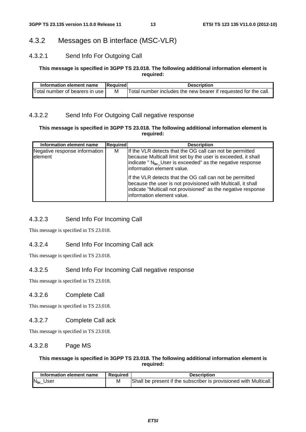### 4.3.2 Messages on B interface (MSC-VLR)

#### 4.3.2.1 Send Info For Outgoing Call

#### **This message is specified in 3GPP TS 23.018. The following additional information element is required:**

| Information element name       | Required | <b>Description</b>                                              |
|--------------------------------|----------|-----------------------------------------------------------------|
| Total number of bearers in use | M        | Total number includes the new bearer if requested for the call. |

#### 4.3.2.2 Send Info For Outgoing Call negative response

#### **This message is specified in 3GPP TS 23.018. The following additional information element is required:**

| Information element name                  | <b>Required</b> | <b>Description</b>                                                                                                                                                                                                               |
|-------------------------------------------|-----------------|----------------------------------------------------------------------------------------------------------------------------------------------------------------------------------------------------------------------------------|
| Negative response information<br>lelement | м               | If the VLR detects that the OG call can not be permitted<br>because Multicall limit set by the user is exceeded, it shall<br>indicate " N <sub>br</sub> User is exceeded" as the negative response<br>information element value. |
|                                           |                 | If the VLR detects that the OG call can not be permitted<br>because the user is not provisioned with Multicall, it shall<br>indicate "Multicall not provisioned" as the negative response<br>information element value.          |

#### 4.3.2.3 Send Info For Incoming Call

This message is specified in TS 23.018.

#### 4.3.2.4 Send Info For Incoming Call ack

This message is specified in TS 23.018.

#### 4.3.2.5 Send Info For Incoming Call negative response

This message is specified in TS 23.018.

#### 4.3.2.6 Complete Call

This message is specified in TS 23.018.

#### 4.3.2.7 Complete Call ack

This message is specified in TS 23.018.

#### 4.3.2.8 Page MS

#### **This message is specified in 3GPP TS 23.018. The following additional information element is required:**

| Information element name | <b>Required</b> | Description                                                       |
|--------------------------|-----------------|-------------------------------------------------------------------|
| $N_{\text{br}}$ User     | M               | Shall be present if the subscriber is provisioned with Multicall. |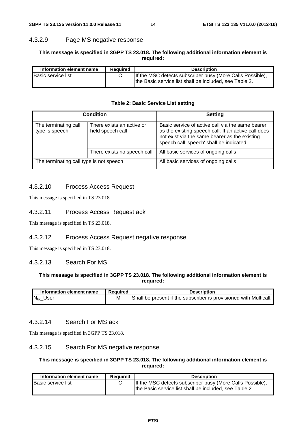#### 4.3.2.9 Page MS negative response

#### **This message is specified in 3GPP TS 23.018. The following additional information element is required:**

| Information element name | <b>Required</b> | <b>Description</b>                                                                                                  |
|--------------------------|-----------------|---------------------------------------------------------------------------------------------------------------------|
| Basic service list       |                 | If the MSC detects subscriber busy (More Calls Possible),<br>the Basic service list shall be included, see Table 2. |

#### **Table 2: Basic Service List setting**

|                                         | Condition                                     | <b>Setting</b>                                                                                                                                                                                       |
|-----------------------------------------|-----------------------------------------------|------------------------------------------------------------------------------------------------------------------------------------------------------------------------------------------------------|
| The terminating call<br>type is speech  | There exists an active or<br>held speech call | Basic service of active call via the same bearer<br>as the existing speech call. If an active call does<br>not exist via the same bearer as the existing<br>speech call 'speech' shall be indicated. |
|                                         | There exists no speech call                   | All basic services of ongoing calls                                                                                                                                                                  |
| The terminating call type is not speech |                                               | All basic services of ongoing calls                                                                                                                                                                  |

#### 4.3.2.10 Process Access Request

This message is specified in TS 23.018.

#### 4.3.2.11 Process Access Request ack

This message is specified in TS 23.018.

#### 4.3.2.12 Process Access Request negative response

This message is specified in TS 23.018.

#### 4.3.2.13 Search For MS

#### **This message is specified in 3GPP TS 23.018. The following additional information element is required:**

| Information element name | Reauired | <b>Description</b>                                                |
|--------------------------|----------|-------------------------------------------------------------------|
| $N_{\text{br}}$ User     | M        | Shall be present if the subscriber is provisioned with Multicall. |

#### 4.3.2.14 Search For MS ack

This message is specified in 3GPP TS 23.018.

#### 4.3.2.15 Search For MS negative response

#### **This message is specified in 3GPP TS 23.018. The following additional information element is required:**

| Information element name<br>Reauired |  | <b>Description</b>                                                                                                  |  |  |
|--------------------------------------|--|---------------------------------------------------------------------------------------------------------------------|--|--|
| <b>Basic service list</b>            |  | If the MSC detects subscriber busy (More Calls Possible),<br>the Basic service list shall be included, see Table 2. |  |  |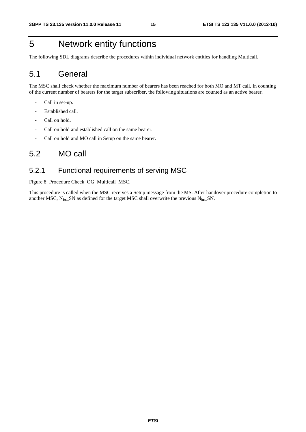## 5 Network entity functions

The following SDL diagrams describe the procedures within individual network entities for handling Multicall.

## 5.1 General

The MSC shall check whether the maximum number of bearers has been reached for both MO and MT call. In counting of the current number of bearers for the target subscriber, the following situations are counted as an active bearer.

- Call in set-up.
- Established call.
- Call on hold.
- Call on hold and established call on the same bearer.
- Call on hold and MO call in Setup on the same bearer.

### 5.2 MO call

#### 5.2.1 Functional requirements of serving MSC

Figure 8: Procedure Check\_OG\_Multicall\_MSC.

This procedure is called when the MSC receives a Setup message from the MS. After handover procedure completion to another MSC, N**br**\_SN as defined for the target MSC shall overwrite the previous N**br**\_SN.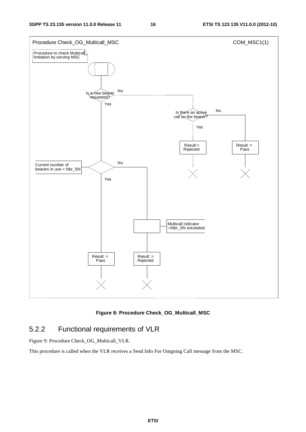

**Figure 8: Procedure Check\_OG\_Multicall\_MSC** 

### 5.2.2 Functional requirements of VLR

Figure 9: Procedure Check\_OG\_Multicall\_VLR.

This procedure is called when the VLR receives a Send Info For Outgoing Call message from the MSC.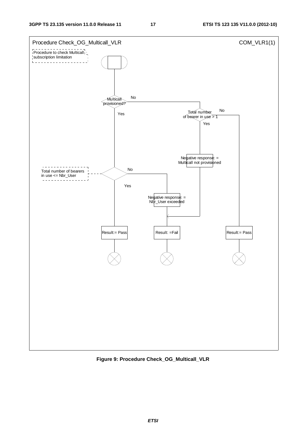

**Figure 9: Procedure Check\_OG\_Multicall\_VLR**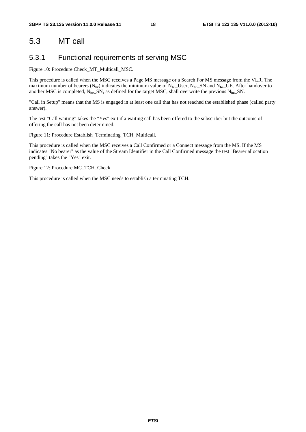## 5.3 MT call

#### 5.3.1 Functional requirements of serving MSC

Figure 10: Procedure Check\_MT\_Multicall\_MSC.

This procedure is called when the MSC receives a Page MS message or a Search For MS message from the VLR. The maximum number of bearers  $(N_{\text{br}})$  indicates the minimum value of  $N_{\text{br}}$  User,  $N_{\text{br}}$  SN and  $N_{\text{br}}$  UE. After handover to another MSC is completed, N**br**\_SN, as defined for the target MSC, shall overwrite the previous N**br**\_SN.

"Call in Setup" means that the MS is engaged in at least one call that has not reached the established phase (called party answer).

The test "Call waiting" takes the "Yes" exit if a waiting call has been offered to the subscriber but the outcome of offering the call has not been determined.

Figure 11: Procedure Establish\_Terminating\_TCH\_Multicall.

This procedure is called when the MSC receives a Call Confirmed or a Connect message from the MS. If the MS indicates "No bearer" as the value of the Stream Identifier in the Call Confirmed message the test "Bearer allocation pending" takes the "Yes" exit.

Figure 12: Procedure MC\_TCH\_Check

This procedure is called when the MSC needs to establish a terminating TCH.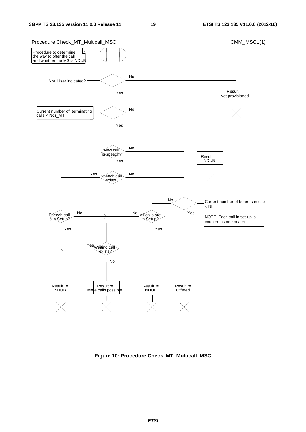

**Figure 10: Procedure Check\_MT\_Multicall\_MSC**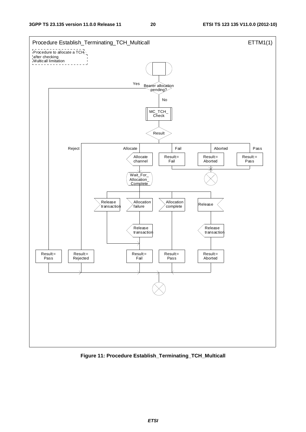

**Figure 11: Procedure Establish\_Terminating\_TCH\_Multicall**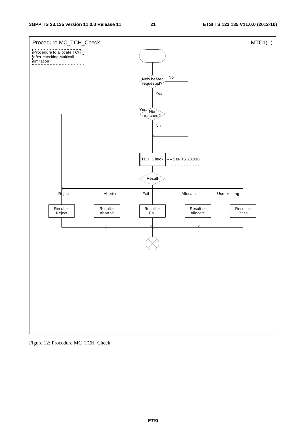

Figure 12: Procedure MC\_TCH\_Check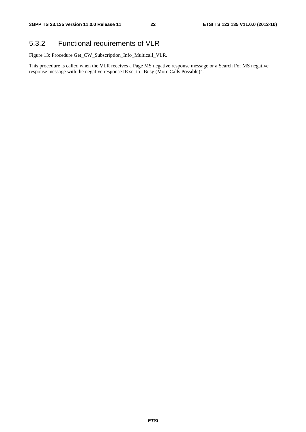## 5.3.2 Functional requirements of VLR

Figure 13: Procedure Get\_CW\_Subscription\_Info\_Multicall\_VLR.

This procedure is called when the VLR receives a Page MS negative response message or a Search For MS negative response message with the negative response IE set to "Busy (More Calls Possible)".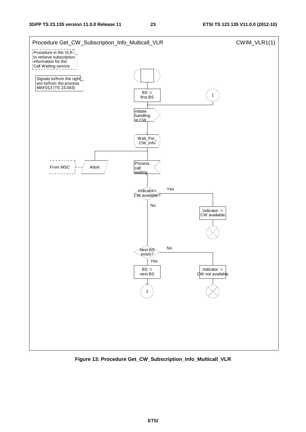

**Figure 13: Procedure Get\_CW\_Subscription\_Info\_Multicall\_VLR**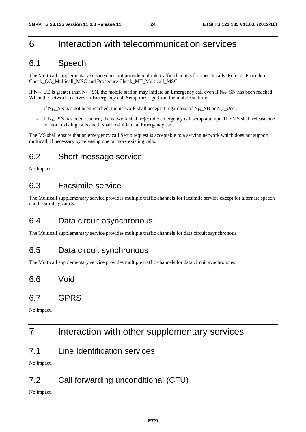## 6 Interaction with telecommunication services

## 6.1 Speech

The Multicall supplementary service does not provide multiple traffic channels for speech calls. Refer to Procedure Check\_OG\_Multicall\_MSC and Procedure Check\_MT\_Multicall\_MSC.

If  $N_{\rm br}$  UE is greater than  $N_{\rm br}$  SN, the mobile station may initiate an Emergency call even if  $N_{\rm br}$  SN has been reached. When the network receives an Emergency call Setup message from the mobile station:

- if N**br**\_SN has not been reached, the network shall accept it regardless of N**br**\_SB or N**br**\_User;
- if N<sub>br</sub>\_SN has been reached, the network shall reject the emergency call setup attempt. The MS shall release one or more existing calls and it shall re-initiate an Emergency call.

The MS shall ensure that an emergency call Setup request is acceptable to a serving network which does not support multicall, if necessary by releasing one or more existing calls.

## 6.2 Short message service

No impact.

## 6.3 Facsimile service

The Multicall supplementary service provides multiple traffic channels for facsimile service except for alternate speech and facsimile group 3.

## 6.4 Data circuit asynchronous

The Multicall supplementary service provides multiple traffic channels for data circuit asynchronous.

## 6.5 Data circuit synchronous

The Multicall supplementary service provides multiple traffic channels for data circuit synchronous.

## 6.6 Void

## 6.7 GPRS

No impact.

## 7 Interaction with other supplementary services

7.1 Line Identification services

No impact.

## 7.2 Call forwarding unconditional (CFU)

No impact.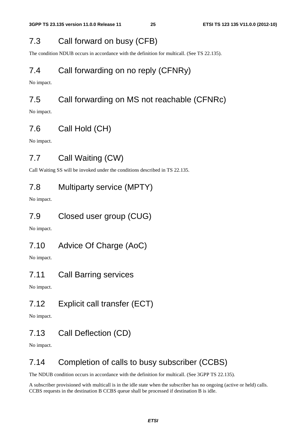## 7.3 Call forward on busy (CFB)

The condition NDUB occurs in accordance with the definition for multicall. (See TS 22.135).

## 7.4 Call forwarding on no reply (CFNRy)

No impact.

## 7.5 Call forwarding on MS not reachable (CFNRc)

No impact.

## 7.6 Call Hold (CH)

No impact.

## 7.7 Call Waiting (CW)

Call Waiting SS will be invoked under the conditions described in TS 22.135.

## 7.8 Multiparty service (MPTY)

No impact.

## 7.9 Closed user group (CUG)

No impact.

## 7.10 Advice Of Charge (AoC)

No impact.

## 7.11 Call Barring services

No impact.

## 7.12 Explicit call transfer (ECT)

No impact.

## 7.13 Call Deflection (CD)

No impact.

## 7.14 Completion of calls to busy subscriber (CCBS)

The NDUB condition occurs in accordance with the definition for multicall. (See 3GPP TS 22.135).

A subscriber provisioned with multicall is in the idle state when the subscriber has no ongoing (active or held) calls. CCBS requests in the destination B CCBS queue shall be processed if destination B is idle.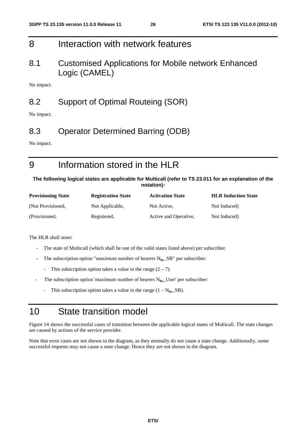## 8 Interaction with network features

## 8.1 Customised Applications for Mobile network Enhanced Logic (CAMEL)

No impact.

## 8.2 Support of Optimal Routeing (SOR)

No impact.

## 8.3 Operator Determined Barring (ODB)

No impact.

# 9 Information stored in the HLR

#### **The following logical states are applicable for Multicall (refer to TS 23.011 for an explanation of the notation):**

| <b>Provisioning State</b> | <b>Registration State</b> | <b>Activation State</b> | <b>HLR Induction State</b> |
|---------------------------|---------------------------|-------------------------|----------------------------|
| (Not Provisioned,         | Not Applicable,           | Not Active.             | Not Induced)               |
| (Provisioned,             | Registered,               | Active and Operative,   | Not Induced)               |

The HLR shall store:

- The state of Multicall (which shall be one of the valid states listed above) per subscriber.
- The subscription option "maximum number of bearers N<sub>br</sub>\_SB" per subscriber:
	- This subscription option takes a value in the range  $(2 7)$ .
- The subscription option 'maximum number of bearers N<sub>br</sub>\_User' per subscriber:
	- This subscription option takes a value in the range  $(1 N_{\text{br}} S B)$ .

## 10 State transition model

Figure 14 shows the successful cases of transition between the applicable logical states of Multicall. The state changes are caused by actions of the service provider.

Note that error cases are not shown in the diagram, as they normally do not cause a state change. Additionally, some successful requests may not cause a state change. Hence they are not shown in the diagram.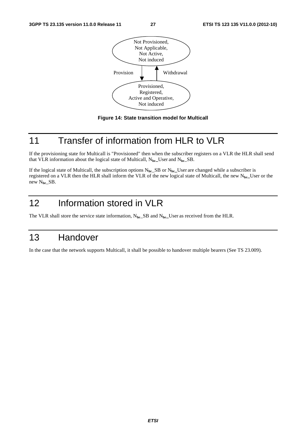



## 11 Transfer of information from HLR to VLR

If the provisioning state for Multicall is "Provisioned" then when the subscriber registers on a VLR the HLR shall send that VLR information about the logical state of Multicall, N**br\_**User and N**br**\_SB.

If the logical state of Multicall, the subscription options N**br**\_SB or N**br\_**User are changed while a subscriber is registered on a VLR then the HLR shall inform the VLR of the new logical state of Multicall, the new N**br\_**User or the new N**br**\_SB.

# 12 Information stored in VLR

The VLR shall store the service state information,  $N_{\text{br\_}SB}$  and  $N_{\text{br\_}User}$  as received from the HLR.

## 13 Handover

In the case that the network supports Multicall, it shall be possible to handover multiple bearers (See TS 23.009).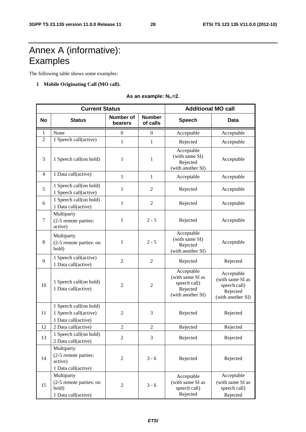# Annex A (informative): **Examples**

The following table shows some examples:

#### **1 Mobile Originating Call (MO call).**

As an example: N<sub>br</sub>=2.

|           | <b>Current Status</b>                                                  | <b>Additional MO call</b>   |                           |                                                                                 |                                                                                 |
|-----------|------------------------------------------------------------------------|-----------------------------|---------------------------|---------------------------------------------------------------------------------|---------------------------------------------------------------------------------|
| <b>No</b> | <b>Status</b>                                                          | <b>Number of</b><br>bearers | <b>Number</b><br>of calls | <b>Speech</b>                                                                   | <b>Data</b>                                                                     |
| 1         | None                                                                   | 0                           | $\theta$                  | Acceptable                                                                      | Acceptable                                                                      |
| 2         | 1 Speech call(active)                                                  | $\mathbf{1}$                | $\mathbf{1}$              | Rejected                                                                        | Acceptable                                                                      |
| 3         | 1 Speech call(on hold)                                                 | $\mathbf{1}$                | $\mathbf{1}$              | Acceptable<br>(with same SI)<br>Rejected<br>(with another SI)                   | Acceptable                                                                      |
| 4         | 1 Data call(active)                                                    | $\mathbf{1}$                | $\mathbf{1}$              | Acceptable                                                                      | Acceptable                                                                      |
| 5         | 1 Speech call(on hold)<br>1 Speech call(active)                        | 1                           | 2                         | Rejected                                                                        | Acceptable                                                                      |
| 6         | 1 Speech call(on hold)<br>1 Data call(active)                          | $\mathbf{1}$                | $\overline{2}$            | Rejected                                                                        | Acceptable                                                                      |
| $\tau$    | Multiparty<br>(2-5 remote parties:<br>active)                          | $\mathbf{1}$                | $2 - 5$                   | Rejected                                                                        | Acceptable                                                                      |
| $\,8\,$   | Multiparty<br>(2-5 remote parties: on<br>hold)                         | $\mathbf{1}$                | $2 - 5$                   | Acceptable<br>(with same SI)<br>Rejected<br>(with another SI)                   | Acceptable                                                                      |
| 9         | 1 Speech call(active)<br>1 Data call(active)                           | $\overline{2}$              | $\overline{2}$            | Rejected                                                                        | Rejected                                                                        |
| 10        | 1 Speech call(on hold)<br>1 Data call(active)                          | $\overline{2}$              | $\overline{2}$            | Acceptable<br>(with same SI as<br>speech call)<br>Rejected<br>(with another SI) | Acceptable<br>(with same SI as<br>speech call)<br>Rejected<br>(with another SI) |
| 11        | 1 Speech call(on hold)<br>1 Speech call(active)<br>1 Data call(active) | $\mathfrak{2}$              | 3                         | Rejected                                                                        | Rejected                                                                        |
| 12        | 2 Data call(active)                                                    | $\mathfrak{2}$              | $\mathfrak{2}$            | Rejected                                                                        | Rejected                                                                        |
| 13        | 1 Speech call(on hold)<br>2 Data call(active)                          | $\overline{2}$              | 3                         | Rejected                                                                        | Rejected                                                                        |
| 14        | Multiparty<br>(2-5 remote parties:<br>active)<br>1 Data call(active)   | $\sqrt{2}$                  | $3 - 6$                   | Rejected                                                                        | Rejected                                                                        |
| 15        | Multiparty<br>(2-5 remote parties: on<br>hold)<br>1 Data call(active)  | $\overline{2}$              | $3 - 6$                   | Acceptable<br>(with same SI as<br>speech call)<br>Rejected                      | Acceptable<br>(with same SI as<br>speech call)<br>Rejected                      |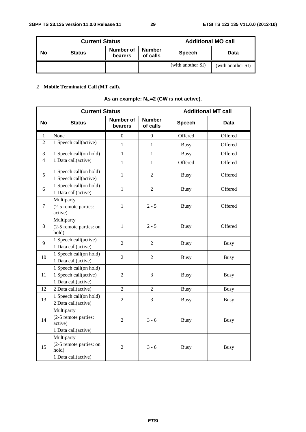| <b>Current Status</b> |               |                             |                           | <b>Additional MO call</b> |                   |
|-----------------------|---------------|-----------------------------|---------------------------|---------------------------|-------------------|
| No                    | <b>Status</b> | Number of<br><b>bearers</b> | <b>Number</b><br>of calls | <b>Speech</b>             | Data              |
|                       |               |                             |                           | (with another SI)         | (with another SI) |

**2 Mobile Terminated Call (MT call).** 

#### As an example: N<sub>br</sub>=2 (CW is not active).

|                | <b>Current Status</b>                                                  | <b>Additional MT call</b>   |                           |               |             |
|----------------|------------------------------------------------------------------------|-----------------------------|---------------------------|---------------|-------------|
| <b>No</b>      | <b>Status</b>                                                          | <b>Number of</b><br>bearers | <b>Number</b><br>of calls | <b>Speech</b> | Data        |
| 1              | None                                                                   | $\overline{0}$              | $\mathbf{0}$              | Offered       | Offered     |
| $\overline{2}$ | 1 Speech call(active)                                                  | $\mathbf{1}$                | 1                         | <b>Busy</b>   | Offered     |
| 3              | 1 Speech call(on hold)                                                 | 1                           | $\mathbf{1}$              | <b>Busy</b>   | Offered     |
| 4              | 1 Data call(active)                                                    | $\mathbf{1}$                | $\mathbf{1}$              | Offered       | Offered     |
| 5              | 1 Speech call(on hold)<br>1 Speech call(active)                        | $\mathbf{1}$                | $\overline{2}$            | <b>Busy</b>   | Offered     |
| 6              | 1 Speech call(on hold)<br>1 Data call(active)                          | $\mathbf{1}$                | $\overline{2}$            | <b>Busy</b>   | Offered     |
| 7              | Multiparty<br>(2-5 remote parties:<br>active)                          | 1                           | $2 - 5$                   | <b>Busy</b>   | Offered     |
| 8              | Multiparty<br>(2-5 remote parties: on<br>hold)                         | $\mathbf{1}$                | $2 - 5$                   | <b>Busy</b>   | Offered     |
| 9              | 1 Speech call(active)<br>1 Data call(active)                           | $\overline{2}$              | $\overline{2}$            | <b>Busy</b>   | <b>Busy</b> |
| 10             | 1 Speech call(on hold)<br>1 Data call(active)                          | $\overline{2}$              | $\overline{2}$            | <b>Busy</b>   | <b>Busy</b> |
| 11             | 1 Speech call(on hold)<br>1 Speech call(active)<br>1 Data call(active) | $\overline{2}$              | 3                         | <b>Busy</b>   | <b>Busy</b> |
| 12             | 2 Data call(active)<br>$\overline{2}$                                  |                             | $\overline{2}$            | <b>Busy</b>   | <b>Busy</b> |
| 13             | 1 Speech call(on hold)<br>2 Data call(active)                          | $\overline{2}$              | 3                         | <b>Busy</b>   | <b>Busy</b> |
| 14             | Multiparty<br>(2-5 remote parties:<br>active)<br>1 Data call(active)   | $\overline{2}$              | $3 - 6$                   | <b>Busy</b>   | <b>Busy</b> |
| 15             | Multiparty<br>(2-5 remote parties: on<br>hold)<br>1 Data call(active)  | $\overline{2}$              | $3 - 6$                   | <b>Busy</b>   | <b>Busy</b> |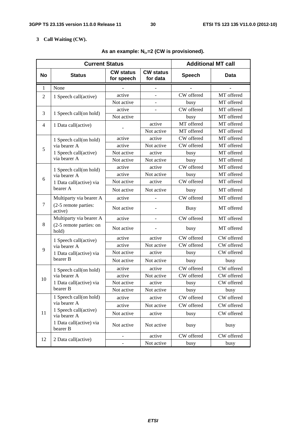#### **3 Call Waiting (CW).**

|                | <b>Current Status</b>                 | <b>Additional MT call</b>                                      |            |               |            |
|----------------|---------------------------------------|----------------------------------------------------------------|------------|---------------|------------|
| <b>No</b>      | <b>Status</b>                         | <b>CW status</b><br><b>CW status</b><br>for speech<br>for data |            | <b>Speech</b> | Data       |
| $\mathbf{1}$   | None                                  |                                                                |            |               |            |
| 2              | 1 Speech call(active)                 | active                                                         |            | CW offered    | MT offered |
|                |                                       | Not active                                                     | ÷,         | busy          | MT offered |
| 3              | 1 Speech call(on hold)                | active                                                         |            | CW offered    | MT offered |
|                |                                       | Not active                                                     |            | busy          | MT offered |
| $\overline{4}$ | 1 Data call(active)                   |                                                                | active     | MT offered    | MT offered |
|                |                                       |                                                                | Not active | MT offered    | MT offered |
|                | 1 Speech call(on hold)                | active                                                         | active     | CW offered    | MT offered |
| 5              | via bearer A                          | active                                                         | Not active | CW offered    | MT offered |
|                | 1 Speech call(active)                 | Not active                                                     | active     | busy          | MT offered |
|                | via bearer A                          | Not active                                                     | Not active | busy          | MT offered |
|                | 1 Speech call(on hold)                | active                                                         | active     | CW offered    | MT offered |
|                | via bearer A                          | active                                                         | Not active | busy          | MT offered |
| 6              | 1 Data call(active) via               | Not active                                                     | active     | CW offered    | MT offered |
|                | bearer A                              | Not active                                                     | Not active | busy          | MT offered |
|                | Multiparty via bearer A               | active                                                         |            | CW offered    | MT offered |
| $\tau$         | (2-5 remote parties:<br>active)       | Not active                                                     |            | <b>Busy</b>   | MT offered |
|                | Multiparty via bearer A               | active                                                         |            | CW offered    | MT offered |
| 8              | (2-5 remote parties: on<br>hold)      | Not active                                                     |            | busy          | MT offered |
|                | 1 Speech call(active)                 | active                                                         | active     | CW offered    | CW offered |
| 9              | via bearer A                          | active                                                         | Not active | CW offered    | CW offered |
|                | 1 Data call(active) via               | Not active                                                     | active     | busy          | CW offered |
|                | bearer B                              | Not active                                                     | Not active | busy          | busy       |
|                | 1 Speech call(on hold)                | active                                                         | active     | CW offered    | CW offered |
| 10             | via bearer A                          | active                                                         | Not active | CW offered    | CW offered |
|                | 1 Data call(active) via               | Not active                                                     | active     | busy          | CW offered |
|                | bearer B                              | Not active                                                     | Not active | busy          | busy       |
|                | 1 Speech call(on hold)                | active                                                         | active     | CW offered    | CW offered |
|                | via bearer A                          | active                                                         | Not active | CW offered    | CW offered |
| 11             | 1 Speech call(active)<br>via bearer A | Not active                                                     | active     | busy          | CW offered |
|                | 1 Data call(active) via<br>bearer B   | Not active                                                     | Not active | busy          | busy       |
|                |                                       | $\overline{\phantom{0}}$                                       | active     | CW offered    | CW offered |
| 12             | 2 Data call(active)                   |                                                                | Not active | busy          | busy       |

#### As an example: N<sub>br</sub>=2 (CW is provisioned).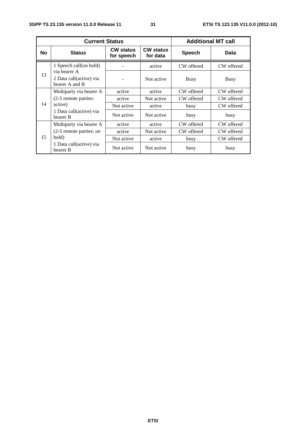|           | <b>Current Status</b>                     | <b>Additional MT call</b>      |                              |               |            |
|-----------|-------------------------------------------|--------------------------------|------------------------------|---------------|------------|
| <b>No</b> | <b>Status</b>                             | <b>CW status</b><br>for speech | <b>CW status</b><br>for data | <b>Speech</b> | Data       |
|           | 1 Speech call(on hold)<br>via bearer A    |                                | active                       | CW offered    | CW offered |
| 13        | 2 Data call(active) via<br>bearer A and B |                                | Not active                   | Busy          | Busy       |
|           | Multiparty via bearer A                   | active                         | active                       | CW offered    | CW offered |
| 14        | (2-5 remote parties:                      | active                         | Not active                   | CW offered    | CW offered |
|           | active)                                   | Not active                     | active                       | busy          | CW offered |
|           | 1 Data call(active) via<br>bearer B       | Not active                     | Not active                   | busy          | busy       |
|           | Multiparty via bearer A                   | active                         | active                       | CW offered    | CW offered |
| 15        | (2-5 remote parties: on                   | active                         | Not active                   | CW offered    | CW offered |
|           | hold)                                     | Not active                     | active                       | busy          | CW offered |
|           | 1 Data call(active) via<br>bearer B       | Not active                     | Not active                   | busy          | busy       |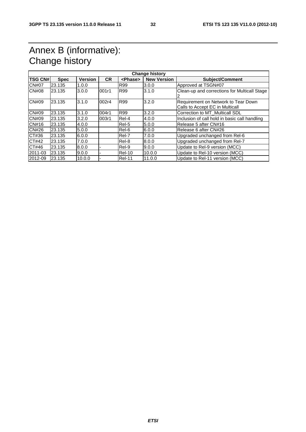## Annex B (informative): Change history

| <b>Change history</b><br><b>TSG CN#</b><br><b>CR</b><br><b>New Version</b><br><b>Version</b><br><b>Subject/Comment</b><br><b>Spec</b><br><phase></phase> |        |        |       |               |        |                                                                        |
|----------------------------------------------------------------------------------------------------------------------------------------------------------|--------|--------|-------|---------------|--------|------------------------------------------------------------------------|
|                                                                                                                                                          |        |        |       |               |        |                                                                        |
| <b>CN#07</b>                                                                                                                                             | 23.135 | 1.0.0  |       | R99           | 3.0.0  | Approved at TSGN#07                                                    |
| <b>CN#08</b>                                                                                                                                             | 23.135 | 3.0.0  | 001r1 | <b>R99</b>    | 3.1.0  | Clean-up and corrections for Multicall Stage                           |
| CN#09                                                                                                                                                    | 23.135 | 3.1.0  | 002r4 | <b>R99</b>    | 3.2.0  | Requirement on Network to Tear Down<br>Calls to Accept EC in Multicall |
| CN#09                                                                                                                                                    | 23.135 | 3.1.0  | 004r1 | <b>R99</b>    | 3.2.0  | Correction to MT_Multicall SDL                                         |
| CN#09                                                                                                                                                    | 23.135 | 3.2.0  | 003r1 | Rel-4         | 4.0.0  | Inclusion of call hold in basic call handling                          |
| CN#16                                                                                                                                                    | 23.135 | 4.0.0  |       | Rel-5         | 5.0.0  | Release 5 after CN#16                                                  |
| <b>CN#26</b>                                                                                                                                             | 23.135 | 5.0.0  |       | Rel-6         | 6.0.0  | Release 6 after CN#26                                                  |
| CT#36                                                                                                                                                    | 23.135 | 6.0.0  |       | Rel-7         | 7.0.0  | Upgraded unchanged from Rel-6                                          |
| CT#42                                                                                                                                                    | 23.135 | 7.0.0  |       | Rel-8         | 8.0.0  | Upgraded unchanged from Rel-7                                          |
| CT#46                                                                                                                                                    | 23.135 | 8.0.0  |       | Rel-9         | 9.0.0  | Update to Rel-9 version (MCC)                                          |
| 2011-03                                                                                                                                                  | 23.135 | 9.0.0  |       | $ReI-10$      | 10.0.0 | Update to Rel-10 version (MCC)                                         |
| 2012-09                                                                                                                                                  | 23.135 | 10.0.0 |       | <b>Rel-11</b> | 11.0.0 | Update to Rel-11 version (MCC)                                         |